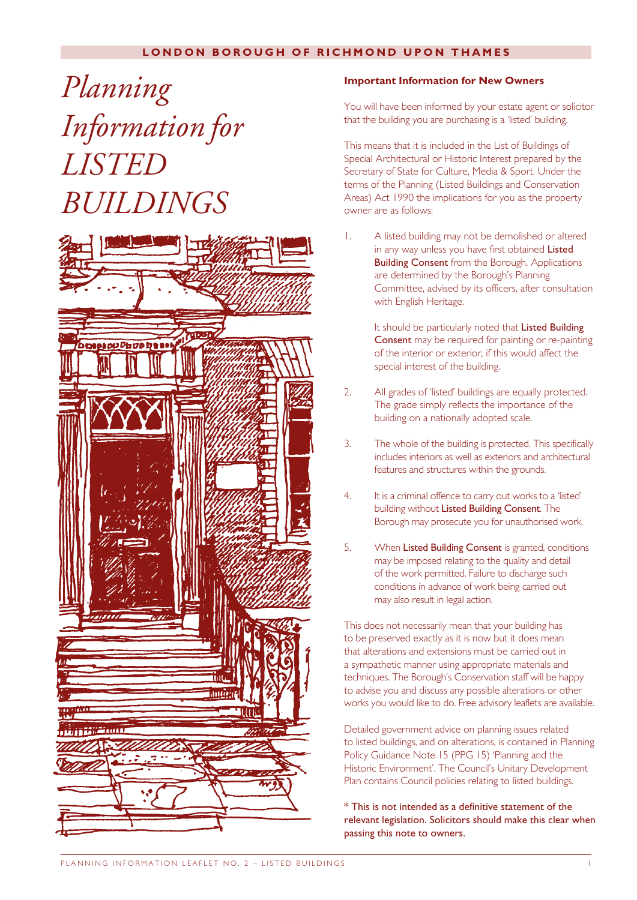# **LONDON BOROUGH OF RICHMOND UPON THAMES**

# *Planning Information for LISTED BUILDINGS*



#### **Important Information for New Owners**

You will have been informed by your estate agent or solicitor that the building you are purchasing is a 'listed' building.

This means that it is included in the List of Buildings of Special Architectural or Historic Interest prepared by the Secretary of State for Culture, Media & Sport. Under the terms of the Planning (Listed Buildings and Conservation Areas) Act 1990 the implications for you as the property owner are as follows:

1. A listed building may not be demolished or altered in any way unless you have first obtained Listed Building Consent from the Borough. Applications are determined by the Borough's Planning Committee, advised by its officers, after consultation with English Heritage.

> It should be particularly noted that Listed Building Consent may be required for painting or re-painting of the interior or exterior, if this would affect the special interest of the building.

- 2. All grades of 'listed' buildings are equally protected. The grade simply reflects the importance of the building on a nationally adopted scale.
- 3. The whole of the building is protected. This specifically includes interiors as well as exteriors and architectural features and structures within the grounds.
- 4. It is a criminal offence to carry out works to a 'listed' building without Listed Building Consent. The Borough may prosecute you for unauthorised work.
- 5. When Listed Building Consent is granted, conditions may be imposed relating to the quality and detail of the work permitted. Failure to discharge such conditions in advance of work being carried out may also result in legal action.

This does not necessarily mean that your building has to be preserved exactly as it is now but it does mean that alterations and extensions must be carried out in a sympathetic manner using appropriate materials and techniques. The Borough's Conservation staff will be happy to advise you and discuss any possible alterations or other works you would like to do. Free advisory leaflets are available.

Detailed government advice on planning issues related to listed buildings, and on alterations, is contained in Planning Policy Guidance Note 15 (PPG 15) 'Planning and the Historic Environment'. The Council's Unitary Development Plan contains Council policies relating to listed buildings.

\* This is not intended as a definitive statement of the relevant legislation. Solicitors should make this clear when passing this note to owners.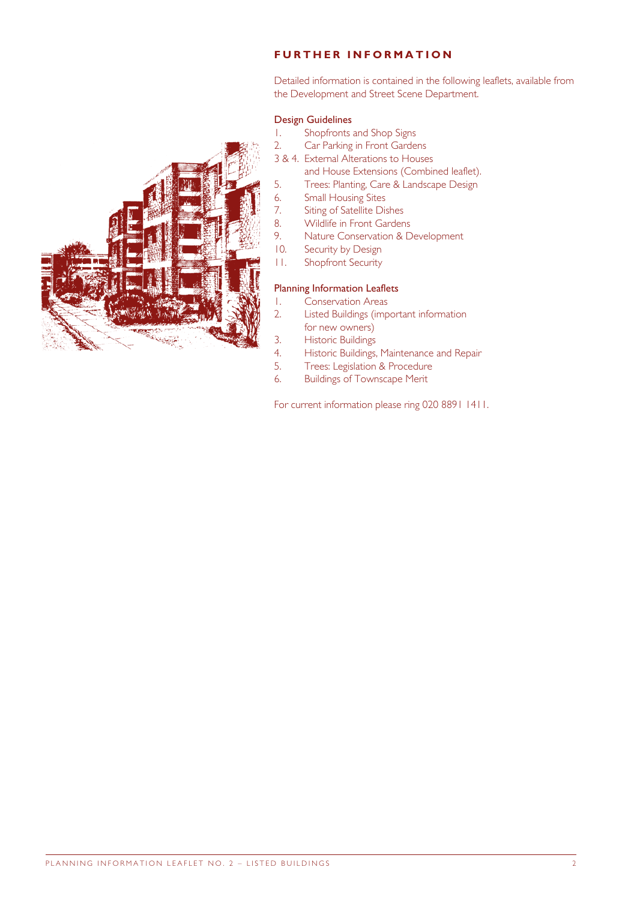# **FURTHER INFORMATION**

Detailed information is contained in the following leaflets, available from the Development and Street Scene Department.

#### Design Guidelines

- 1. Shopfronts and Shop Signs
- 2. Car Parking in Front Gardens
- 3 & 4. External Alterations to Houses and House Extensions (Combined leaflet).
- 5. Trees: Planting, Care & Landscape Design
- 6. Small Housing Sites
- 7. Siting of Satellite Dishes
- 8. Wildlife in Front Gardens
- 9. Nature Conservation & Development
- 10. Security by Design
- 11. Shopfront Security

## Planning Information Leaflets

- 1. Conservation Areas<br>2. Listed Buildings (imp
- Listed Buildings (important information for new owners)
- 3. Historic Buildings
- 4. Historic Buildings, Maintenance and Repair
- 5. Trees: Legislation & Procedure
- 6. Buildings of Townscape Merit

For current information please ring 020 8891 1411.